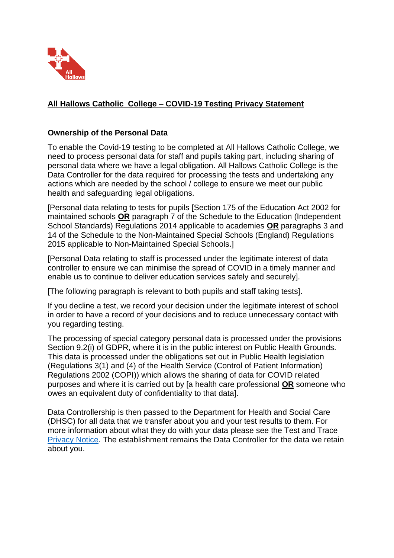

# **All Hallows Catholic College – COVID-19 Testing Privacy Statement**

## **Ownership of the Personal Data**

To enable the Covid-19 testing to be completed at All Hallows Catholic College, we need to process personal data for staff and pupils taking part, including sharing of personal data where we have a legal obligation. All Hallows Catholic College is the Data Controller for the data required for processing the tests and undertaking any actions which are needed by the school / college to ensure we meet our public health and safeguarding legal obligations.

[Personal data relating to tests for pupils [Section 175 of the Education Act 2002 for maintained schools **OR** paragraph 7 of the Schedule to the Education (Independent School Standards) Regulations 2014 applicable to academies **OR** paragraphs 3 and 14 of the Schedule to the Non-Maintained Special Schools (England) Regulations 2015 applicable to Non-Maintained Special Schools.]

[Personal Data relating to staff is processed under the legitimate interest of data controller to ensure we can minimise the spread of COVID in a timely manner and enable us to continue to deliver education services safely and securely].

[The following paragraph is relevant to both pupils and staff taking tests].

If you decline a test, we record your decision under the legitimate interest of school in order to have a record of your decisions and to reduce unnecessary contact with you regarding testing.

The processing of special category personal data is processed under the provisions Section 9.2(i) of GDPR, where it is in the public interest on Public Health Grounds. This data is processed under the obligations set out in Public Health legislation (Regulations 3(1) and (4) of the Health Service (Control of Patient Information) Regulations 2002 (COPI)) which allows the sharing of data for COVID related purposes and where it is carried out by [a health care professional **OR** someone who owes an equivalent duty of confidentiality to that data].

Data Controllership is then passed to the Department for Health and Social Care (DHSC) for all data that we transfer about you and your test results to them. For more information about what they do with your data please see the Test and Trace [Privacy Notice.](https://contact-tracing.phe.gov.uk/help/privacy-notice) The establishment remains the Data Controller for the data we retain about you.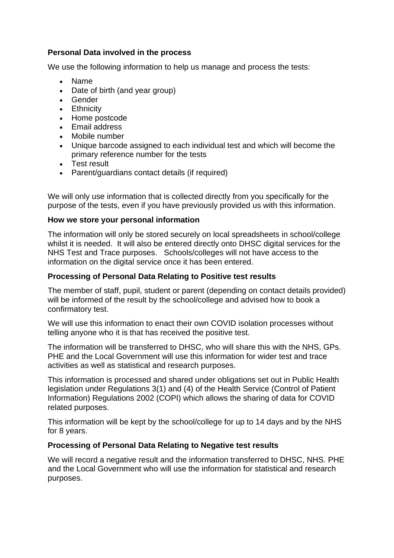## **Personal Data involved in the process**

We use the following information to help us manage and process the tests:

- Name
- Date of birth (and year group)
- Gender
- Ethnicity
- Home postcode
- Email address
- Mobile number
- Unique barcode assigned to each individual test and which will become the primary reference number for the tests
- **Test result**
- Parent/guardians contact details (if required)

We will only use information that is collected directly from you specifically for the purpose of the tests, even if you have previously provided us with this information.

### **How we store your personal information**

The information will only be stored securely on local spreadsheets in school/college whilst it is needed. It will also be entered directly onto DHSC digital services for the NHS Test and Trace purposes. Schools/colleges will not have access to the information on the digital service once it has been entered.

## **Processing of Personal Data Relating to Positive test results**

The member of staff, pupil, student or parent (depending on contact details provided) will be informed of the result by the school/college and advised how to book a confirmatory test.

We will use this information to enact their own COVID isolation processes without telling anyone who it is that has received the positive test.

The information will be transferred to DHSC, who will share this with the NHS, GPs. PHE and the Local Government will use this information for wider test and trace activities as well as statistical and research purposes.

This information is processed and shared under obligations set out in Public Health legislation under Regulations 3(1) and (4) of the Health Service (Control of Patient Information) Regulations 2002 (COPI) which allows the sharing of data for COVID related purposes.

This information will be kept by the school/college for up to 14 days and by the NHS for 8 years.

### **Processing of Personal Data Relating to Negative test results**

We will record a negative result and the information transferred to DHSC, NHS. PHE and the Local Government who will use the information for statistical and research purposes.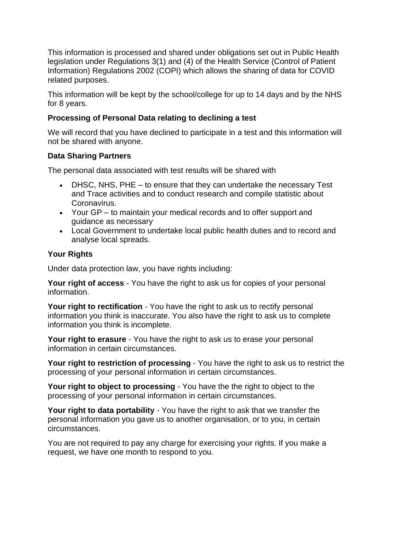This information is processed and shared under obligations set out in Public Health legislation under Regulations 3(1) and (4) of the Health Service (Control of Patient Information) Regulations 2002 (COPI) which allows the sharing of data for COVID related purposes.

This information will be kept by the school/college for up to 14 days and by the NHS for 8 years.

### **Processing of Personal Data relating to declining a test**

We will record that you have declined to participate in a test and this information will not be shared with anyone.

### **Data Sharing Partners**

The personal data associated with test results will be shared with

- DHSC, NHS, PHE to ensure that they can undertake the necessary Test and Trace activities and to conduct research and compile statistic about Coronavirus.
- Your GP to maintain your medical records and to offer support and guidance as necessary
- Local Government to undertake local public health duties and to record and analyse local spreads.

### **Your Rights**

Under data protection law, you have rights including:

**Your right of access** - You have the right to ask us for copies of your personal information.

**Your right to rectification** - You have the right to ask us to rectify personal information you think is inaccurate. You also have the right to ask us to complete information you think is incomplete.

**Your right to erasure** - You have the right to ask us to erase your personal information in certain circumstances.

**Your right to restriction of processing** - You have the right to ask us to restrict the processing of your personal information in certain circumstances.

**Your right to object to processing** - You have the the right to object to the processing of your personal information in certain circumstances.

**Your right to data portability** - You have the right to ask that we transfer the personal information you gave us to another organisation, or to you, in certain circumstances.

You are not required to pay any charge for exercising your rights. If you make a request, we have one month to respond to you.